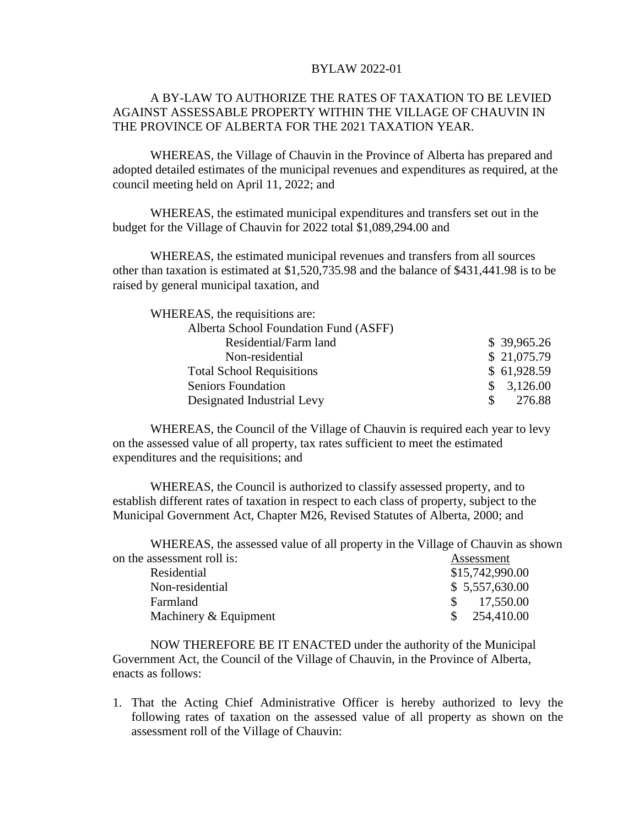## BYLAW 2022-01

## A BY-LAW TO AUTHORIZE THE RATES OF TAXATION TO BE LEVIED AGAINST ASSESSABLE PROPERTY WITHIN THE VILLAGE OF CHAUVIN IN THE PROVINCE OF ALBERTA FOR THE 2021 TAXATION YEAR.

WHEREAS, the Village of Chauvin in the Province of Alberta has prepared and adopted detailed estimates of the municipal revenues and expenditures as required, at the council meeting held on April 11, 2022; and

WHEREAS, the estimated municipal expenditures and transfers set out in the budget for the Village of Chauvin for 2022 total \$1,089,294.00 and

WHEREAS, the estimated municipal revenues and transfers from all sources other than taxation is estimated at \$1,520,735.98 and the balance of \$431,441.98 is to be raised by general municipal taxation, and

| WHEREAS, the requisitions are:        |             |
|---------------------------------------|-------------|
| Alberta School Foundation Fund (ASFF) |             |
| Residential/Farm land                 | \$39,965.26 |
| Non-residential                       | \$21,075.79 |
| <b>Total School Requisitions</b>      | \$61,928.59 |
| <b>Seniors Foundation</b>             | 3,126.00    |
| Designated Industrial Levy            | 276.88      |

WHEREAS, the Council of the Village of Chauvin is required each year to levy on the assessed value of all property, tax rates sufficient to meet the estimated expenditures and the requisitions; and

WHEREAS, the Council is authorized to classify assessed property, and to establish different rates of taxation in respect to each class of property, subject to the Municipal Government Act, Chapter M26, Revised Statutes of Alberta, 2000; and

WHEREAS, the assessed value of all property in the Village of Chauvin as shown on the assessment roll is: Assessment

| Residential           | \$15,742,990.00         |
|-----------------------|-------------------------|
| Non-residential       | \$5,557,630.00          |
| Farmland              | 17,550.00               |
| Machinery & Equipment | $\frac{\$}{254,410.00}$ |
|                       |                         |

NOW THEREFORE BE IT ENACTED under the authority of the Municipal Government Act, the Council of the Village of Chauvin, in the Province of Alberta, enacts as follows:

1. That the Acting Chief Administrative Officer is hereby authorized to levy the following rates of taxation on the assessed value of all property as shown on the assessment roll of the Village of Chauvin: